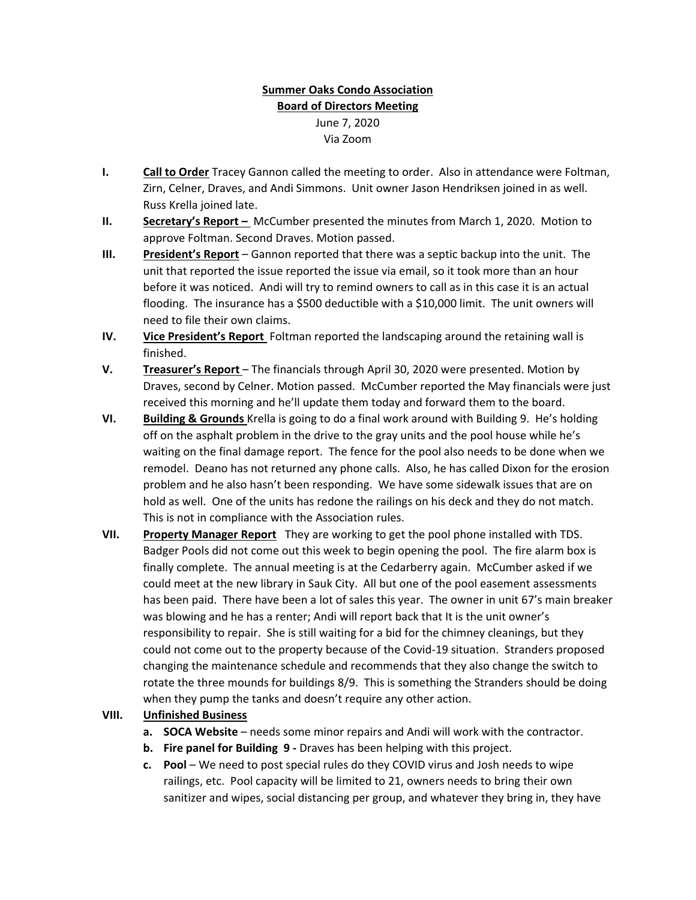## **Summer Oaks Condo Association Board of Directors Meeting** June 7, 2020 Via Zoom

- **I. Call to Order** Tracey Gannon called the meeting to order. Also in attendance were Foltman, Zirn, Celner, Draves, and Andi Simmons. Unit owner Jason Hendriksen joined in as well. Russ Krella joined late.
- **II. Secretary's Report –** McCumber presented the minutes from March 1, 2020. Motion to approve Foltman. Second Draves. Motion passed.
- **III. President's Report** Gannon reported that there was a septic backup into the unit. The unit that reported the issue reported the issue via email, so it took more than an hour before it was noticed. Andi will try to remind owners to call as in this case it is an actual flooding. The insurance has a \$500 deductible with a \$10,000 limit. The unit owners will need to file their own claims.
- **IV. Vice President's Report** Foltman reported the landscaping around the retaining wall is finished.
- **V. Treasurer's Report** The financials through April 30, 2020 were presented. Motion by Draves, second by Celner. Motion passed. McCumber reported the May financials were just received this morning and he'll update them today and forward them to the board.
- **VI. Building & Grounds** Krella is going to do a final work around with Building 9. He's holding off on the asphalt problem in the drive to the gray units and the pool house while he's waiting on the final damage report. The fence for the pool also needs to be done when we remodel. Deano has not returned any phone calls. Also, he has called Dixon for the erosion problem and he also hasn't been responding. We have some sidewalk issues that are on hold as well. One of the units has redone the railings on his deck and they do not match. This is not in compliance with the Association rules.
- **VII. Property Manager Report** They are working to get the pool phone installed with TDS. Badger Pools did not come out this week to begin opening the pool. The fire alarm box is finally complete. The annual meeting is at the Cedarberry again. McCumber asked if we could meet at the new library in Sauk City. All but one of the pool easement assessments has been paid. There have been a lot of sales this year. The owner in unit 67's main breaker was blowing and he has a renter; Andi will report back that It is the unit owner's responsibility to repair. She is still waiting for a bid for the chimney cleanings, but they could not come out to the property because of the Covid‐19 situation. Stranders proposed changing the maintenance schedule and recommends that they also change the switch to rotate the three mounds for buildings 8/9. This is something the Stranders should be doing when they pump the tanks and doesn't require any other action.

## **VIII. Unfinished Business**

- **a. SOCA Website** needs some minor repairs and Andi will work with the contractor.
- **b. Fire panel for Building 9 ‐** Draves has been helping with this project.
- **c. Pool** We need to post special rules do they COVID virus and Josh needs to wipe railings, etc. Pool capacity will be limited to 21, owners needs to bring their own sanitizer and wipes, social distancing per group, and whatever they bring in, they have